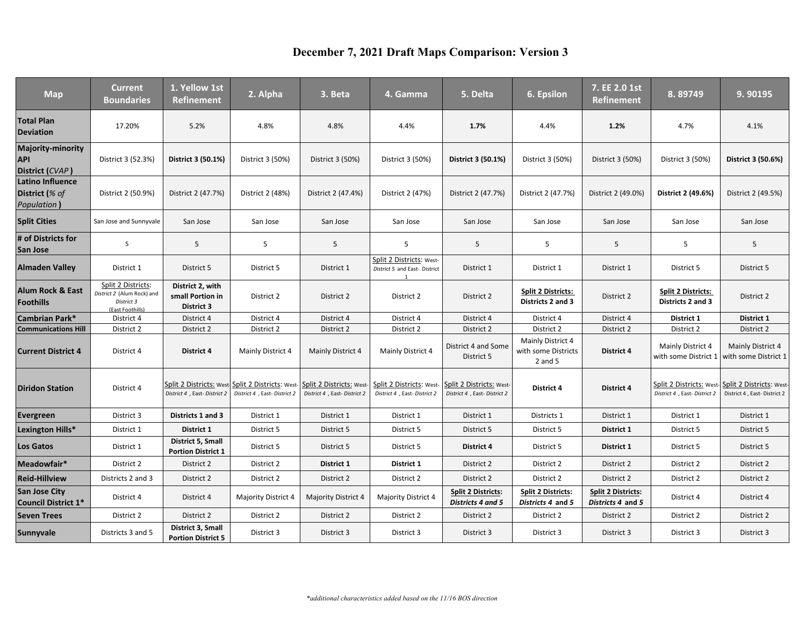## **December 7, 2021 Draft Maps Comparison: Version 3**

| <b>Map</b>                                               | <b>Current</b><br><b>Boundaries</b>                                                | 1. Yellow 1st<br><b>Refinement</b>                        | 2. Alpha                                                                        | 3. Beta                                                 | 4. Gamma                                                  | 5. Delta                                                | 6. Epsilon                                              | 7. EE 2.0 1st<br><b>Refinement</b>             | 8.89749                                                | 9.90195                                                 |
|----------------------------------------------------------|------------------------------------------------------------------------------------|-----------------------------------------------------------|---------------------------------------------------------------------------------|---------------------------------------------------------|-----------------------------------------------------------|---------------------------------------------------------|---------------------------------------------------------|------------------------------------------------|--------------------------------------------------------|---------------------------------------------------------|
| <b>Total Plan</b><br><b>Deviation</b>                    | 17.20%                                                                             | 5.2%                                                      | 4.8%                                                                            | 4.8%                                                    | 4.4%                                                      | 1.7%                                                    | 4.4%                                                    | 1.2%                                           | 4.7%                                                   | 4.1%                                                    |
| Majority-minority<br>API<br>District (CVAP)              | District 3 (52.3%)                                                                 | District 3 (50.1%)                                        | District 3 (50%)                                                                | District 3 (50%)                                        | District 3 (50%)                                          | District 3 (50.1%)                                      | District 3 (50%)                                        | District 3 (50%)                               | District 3 (50%)                                       | District 3 (50.6%)                                      |
| <b>Latino Influence</b><br>District (% of<br>Population) | District 2 (50.9%)                                                                 | District 2 (47.7%)                                        | District 2 (48%)                                                                | District 2 (47.4%)                                      | District 2 (47%)                                          | District 2 (47.7%)                                      | District 2 (47.7%)                                      | District 2 (49.0%)                             | District 2 (49.6%)                                     | District 2 (49.5%)                                      |
| <b>Split Cities</b>                                      | San Jose and Sunnyvale                                                             | San Jose                                                  | San Jose                                                                        | San Jose                                                | San Jose                                                  | San Jose                                                | San Jose                                                | San Jose                                       | San Jose                                               | San Jose                                                |
| # of Districts for<br>San Jose                           | 5                                                                                  | 5                                                         | 5                                                                               | 5                                                       | 5                                                         | 5                                                       | 5                                                       | 5                                              | 5                                                      | 5                                                       |
| <b>Almaden Valley</b>                                    | District 1                                                                         | District 5                                                | District 5                                                                      | District 1                                              | Split 2 Districts: West-<br>District 5 and East- District | District 1                                              | District 1                                              | District 1                                     | District 5                                             | District 5                                              |
| <b>Alum Rock &amp; East</b><br><b>Foothills</b>          | Split 2 Districts:<br>District 2 (Alum Rock) and<br>District 3<br>[East Foothills] | District 2, with<br>small Portion in<br><b>District 3</b> | District 2                                                                      | District 2                                              | District 2                                                | District 2                                              | <b>Split 2 Districts:</b><br>Districts 2 and 3          | District 2                                     | <b>Split 2 Districts:</b><br>Districts 2 and 3         | District 2                                              |
| Cambrian Park*                                           | District 4                                                                         | District 4                                                | District 4                                                                      | District 4                                              | District 4                                                | District 4                                              | District 4                                              | District 4                                     | District 1                                             | District 1                                              |
| <b>Communications Hill</b>                               | District 2                                                                         | District 2                                                | District 2                                                                      | District 2                                              | District 2                                                | District 2                                              | District 2                                              | District 2                                     | District 2                                             | District 2                                              |
| <b>Current District 4</b>                                | District 4                                                                         | <b>District 4</b>                                         | <b>Mainly District 4</b>                                                        | Mainly District 4                                       | Mainly District 4                                         | District 4 and Some<br>District 5                       | Mainly District 4<br>with some Districts<br>$2$ and $5$ | <b>District 4</b>                              | Mainly District 4<br>with some District 1              | <b>Mainly District 4</b><br>with some District 1        |
| <b>Diridon Station</b>                                   | District 4                                                                         | District 4, East-District 2                               | Split 2 Districts: west-Split 2 Districts: west-<br>District 4, East-District 2 | Split 2 Districts: West-<br>District 4, East-District 2 | Split 2 Districts: West-<br>District 4, East-District 2   | Split 2 Districts: West-<br>District 4, East-District 2 | District 4                                              | District 4                                     | Split 2 Districts: West<br>District 4, East-District 2 | Split 2 Districts: West-<br>District 4, East-District 2 |
| Evergreen                                                | District 3                                                                         | Districts 1 and 3                                         | District 1                                                                      | District 1                                              | District 1                                                | District 1                                              | Districts 1                                             | District 1                                     | District 1                                             | District 1                                              |
| Lexington Hills*                                         | District 1                                                                         | District 1                                                | District 5                                                                      | District 5                                              | District 5                                                | District 5                                              | District 5                                              | District 1                                     | District 5                                             | District 5                                              |
| Los Gatos                                                | District 1                                                                         | District 5, Small<br><b>Portion District 1</b>            | District 5                                                                      | District 5                                              | District 5                                                | District 4                                              | District 5                                              | District 1                                     | District 5                                             | District 5                                              |
| Meadowfair*                                              | District 2                                                                         | District 2                                                | District 2                                                                      | District 1                                              | District 1                                                | District 2                                              | District 2                                              | District 2                                     | District 2                                             | District 2                                              |
| <b>Reid-Hillview</b>                                     | Districts 2 and 3                                                                  | District 2                                                | District 2                                                                      | District 2                                              | District 2                                                | District 2                                              | District 2                                              | District 2                                     | District 2                                             | District 2                                              |
| <b>San Jose City</b><br><b>Council District 1*</b>       | District 4                                                                         | District 4                                                | <b>Majority District 4</b>                                                      | Majority District 4                                     | <b>Majority District 4</b>                                | <b>Split 2 Districts:</b><br>Districts 4 and 5          | <b>Split 2 Districts:</b><br>Districts 4 and 5          | <b>Split 2 Districts:</b><br>Districts 4 and 5 | District 4                                             | District 4                                              |
| <b>Seven Trees</b>                                       | District 2                                                                         | District 2                                                | District 2                                                                      | District 2                                              | District 2                                                | District 2                                              | District 2                                              | District 2                                     | District 2                                             | District 2                                              |
| Sunnyvale                                                | Districts 3 and 5                                                                  | District 3, Small<br><b>Portion District 5</b>            | District 3                                                                      | District 3                                              | District 3                                                | District 3                                              | District 3                                              | District 3                                     | District 3                                             | District 3                                              |